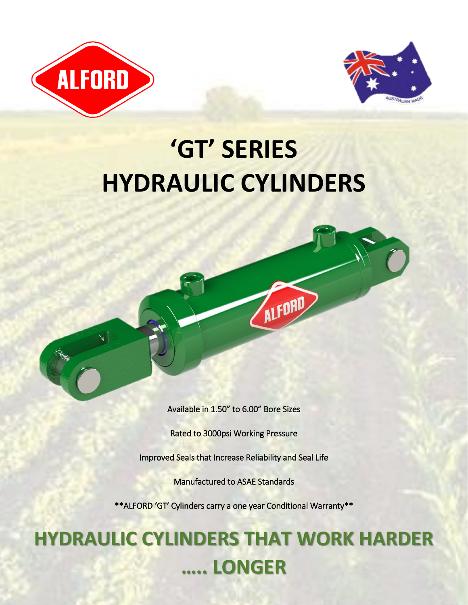



# **'GT' SERIES HYDRAULIC CYLINDERS**



ALFORD

Rated to 3000psi Working Pressure

Improved Seals that Increase Reliability and Seal Life

Manufactured to ASAE Standards

\*\*ALFORD 'GT' Cylinders carry a one year Conditional Warranty\*\*

## **HYDRAULIC CYLINDERS THAT WORK HARDER ….. LONGER**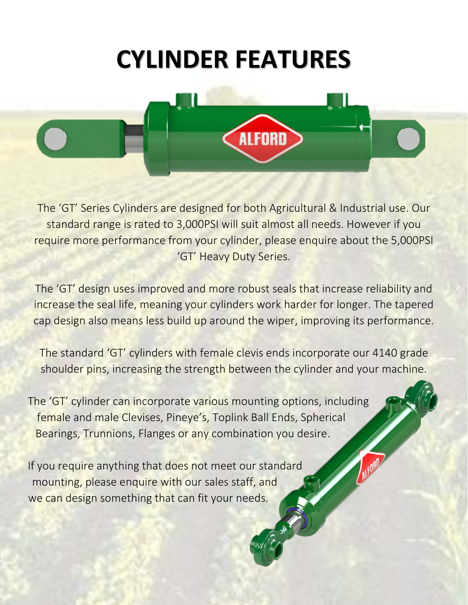# **CYLINDER FEATURES**



The 'GT' Series Cylinders are designed for both Agricultural & Industrial use. Our standard range is rated to 3,000PSI will suit almost all needs. However if you require more performance from your cylinder, please enquire about the 5,000PSI 'GT' Heavy Duty Series.

The 'GT' design uses improved and more robust seals that increase reliability and increase the seal life, meaning your cylinders work harder for longer. The tapered cap design also means less build up around the wiper, improving its performance.

The standard 'GT' cylinders with female clevis ends incorporate our 4140 grade shoulder pins, increasing the strength between the cylinder and your machine.

The 'GT' cylinder can incorporate various mounting options, including female and male Clevises, Pineye's, Toplink Ball Ends, Spherical Bearings, Trunnions, Flanges or any combination you desire.

If you require anything that does not meet our standard mounting, please enquire with our sales staff, and we can design something that can fit your needs.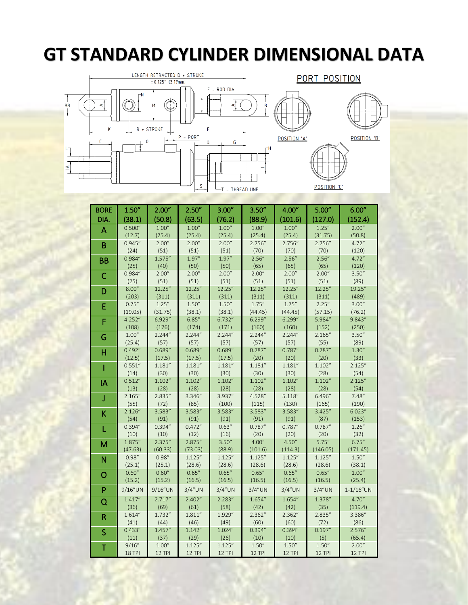### **GT STANDARD CYLINDER DIMENSIONAL DATA**







BORE DIA. 1.50" (38.1) 2.00" (50.8) 2.50" (63.5) 3.00" (76.2) 3.50" (88.9) 4.00" (101.6) 5.00" (127.0) 6.00" (152.4) A 0.500" (12.7) 1.00" (25.4) 1.00" (25.4) 1.00" (25.4) 1.00" (25.4) 1.00" (25.4) 1.25" (31.75) 2.00" (50.8) B 0.945"  $(24)$ 2.00" (51) 2.00" (51) 2.00" (51) 2.756" (70) 2.756" (70) 2.756" (70) 4.72" (120) BB 0.984" (25) 1.575" (40) 1.97" (50) 1.97" (50) 2.56" (65) 2.56" (65) 2.56" (65) 4.72" (120) C 0.984"  $(25)$ 2.00" (51) 2.00" (51) 2.00" (51) 2.00" (51) 2.00" (51) 2.00" (51) 3.50" (89) D 8.00" (203) 12.25" (311) 12.25" (311) 12.25" (311) 12.25" (311) 12.25" (311) 12.25" (311) 19.25" (489) E 0.75" (19.05) 1.25" (31.75) 1.50" (38.1) 1.50" (38.1) 1.75" (44.45) 1.75" (44.45) 2.25" (57.15) 3.00" (76.2) F 4.252" (108) 6.929" (176) 6.85" (174) 6.732" (171) 6.299" (160) 6.299" (160) 5.984" (152) 9.843" (250) G 1.00" (25.4) 2.244" (57) 2.244" (57) 2.244" (57) 2.244" (57) 2.244" (57) 2.165" (55) 3.50" (89) H 0.492" (12.5) 0.689" (17.5) 0.689" (17.5) 0.689" (17.5) 0.787" (20) 0.787" (20) 0.787" (20) 1.30" (33) I 0.551" (14) 1.181" (30) 1.181" (30) 1.181" (30) 1.181" (30) 1.181" (30) 1.102" (28) 2.125" (54) IA 0.512" (13) 1.102" (28) 1.102" (28) 1.102" (28) 1.102" (28) 1.102" (28) 1.102" (28) 2.125" (54) J 2.165" (55) 2.835" (72) 3.346" (85) 3.937" (100) 4.528" (115) 5.118" (130) 6.496" (165) 7.48" (190) K 2.126" (54) 3.583" (91) 3.583" (91) 3.583" (91) 3.583" (91) 3.583" (91) 3.425" (87) 6.023" (153) L 0.394" (10) 0.394" (10) 0.472" (12) 0.63" (16) 0.787" (20) 0.787" (20) 0.787" (20) 1.26" (32) M 1.875" (47.63) 2.375" (60.33) 2.875" (73.03) 3.50" (88.9) 4.00" (101.6) 4.50" (114.3) 5.75" (146.05) 6.75" (171.45) N 0.98" (25.1) 0.98" (25.1) 1.125" (28.6) 1.125" (28.6) 1.125" (28.6) 1.125" (28.6) 1.125" (28.6) 1.50" (38.1) O  $0.60''$ (15.2) 0.60" (15.2) 0.65" (16.5) 0.65" (16.5) 0.65" (16.5) 0.65" (16.5) 0.65" (16.5) 1.00" (25.4) P 9/16"UN 9/16"UN 3/4"UN 3/4"UN 3/4"UN 3/4"UN 3/4"UN 1-1/16"UN Q 1.417" (36) 2.717" (69) 2.402" (61) 2.283" (58) 1.654" (42) 1.654" (42) 1.378" (35) 4.70" (119.4) R 1.614" (41) 1.732" (44) 1.811" (46) 1.929" (49) 2.362" (60) 2.362" (60) 2.835" (72) 3.386" (86) S 0.433" (11) 1.457" (37) 1.142" (29) 1.024" (26) 0.394" (10) 0.394" (10) 0.197" (5) 2.576" (65.4) T 9/16" 18 TPI 1.00" 12 TPI 1.125" 12 TPI 1.125" 12 TPI 1.50" 12 TPI  $1.50''$ 12 TPI  $1.50'$ 12 TPI 2.00" 12 TPI